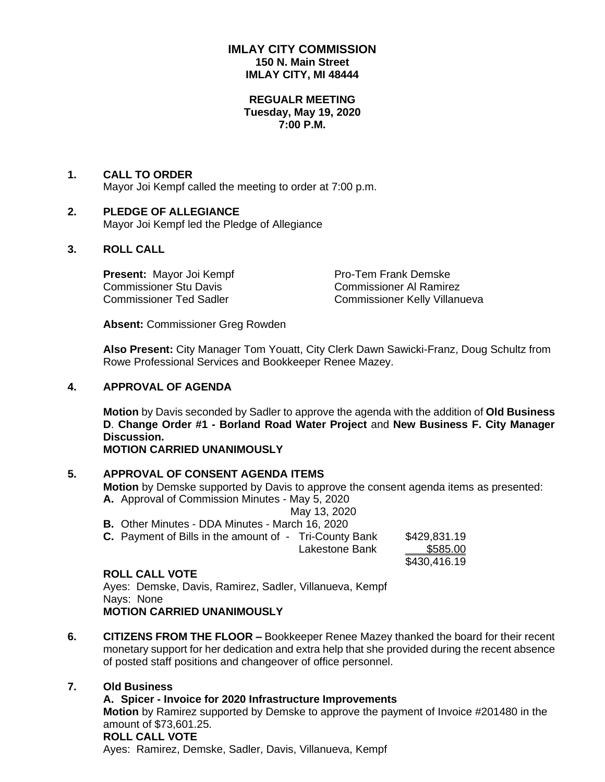## **IMLAY CITY COMMISSION 150 N. Main Street IMLAY CITY, MI 48444**

## **REGUALR MEETING Tuesday, May 19, 2020 7:00 P.M.**

## **1. CALL TO ORDER**

Mayor Joi Kempf called the meeting to order at 7:00 p.m.

## **2. PLEDGE OF ALLEGIANCE**

Mayor Joi Kempf led the Pledge of Allegiance

## **3. ROLL CALL**

**Present:** Mayor Joi Kempf Pro-Tem Frank Demske Commissioner Stu Davis Commissioner Al Ramirez

Commissioner Ted Sadler Commissioner Kelly Villanueva

**Absent:** Commissioner Greg Rowden

**Also Present:** City Manager Tom Youatt, City Clerk Dawn Sawicki-Franz, Doug Schultz from Rowe Professional Services and Bookkeeper Renee Mazey.

## **4. APPROVAL OF AGENDA**

**Motion** by Davis seconded by Sadler to approve the agenda with the addition of **Old Business D**. **Change Order #1 - Borland Road Water Project** and **New Business F. City Manager Discussion.**

## **MOTION CARRIED UNANIMOUSLY**

## **5. APPROVAL OF CONSENT AGENDA ITEMS**

**Motion** by Demske supported by Davis to approve the consent agenda items as presented: **A.** Approval of Commission Minutes - May 5, 2020

May 13, 2020

**B.** Other Minutes - DDA Minutes - March 16, 2020

| <b>C.</b> Payment of Bills in the amount of - Tri-County Bank |                | \$429,831.19 |
|---------------------------------------------------------------|----------------|--------------|
|                                                               | Lakestone Bank | \$585.00     |
|                                                               |                | \$430,416.19 |

### **ROLL CALL VOTE**

Ayes: Demske, Davis, Ramirez, Sadler, Villanueva, Kempf Nays: None **MOTION CARRIED UNANIMOUSLY**

**6. CITIZENS FROM THE FLOOR –** Bookkeeper Renee Mazey thanked the board for their recent monetary support for her dedication and extra help that she provided during the recent absence of posted staff positions and changeover of office personnel.

## **7. Old Business**

## **A. Spicer - Invoice for 2020 Infrastructure Improvements**

**Motion** by Ramirez supported by Demske to approve the payment of Invoice #201480 in the amount of \$73,601.25. **ROLL CALL VOTE**

Ayes: Ramirez, Demske, Sadler, Davis, Villanueva, Kempf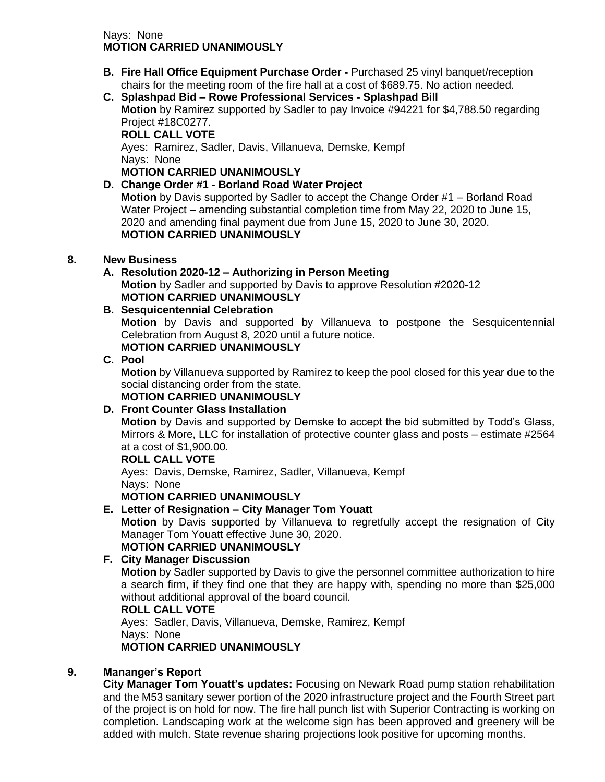## Nays: None **MOTION CARRIED UNANIMOUSLY**

- **B. Fire Hall Office Equipment Purchase Order -** Purchased 25 vinyl banquet/reception chairs for the meeting room of the fire hall at a cost of \$689.75. No action needed.
- **C. Splashpad Bid – Rowe Professional Services - Splashpad Bill Motion** by Ramirez supported by Sadler to pay Invoice #94221 for \$4,788.50 regarding Project #18C0277. **ROLL CALL VOTE**

Ayes: Ramirez, Sadler, Davis, Villanueva, Demske, Kempf Nays: None

**MOTION CARRIED UNANIMOUSLY**

# **D. Change Order #1 - Borland Road Water Project**

**Motion** by Davis supported by Sadler to accept the Change Order #1 – Borland Road Water Project – amending substantial completion time from May 22, 2020 to June 15, 2020 and amending final payment due from June 15, 2020 to June 30, 2020. **MOTION CARRIED UNANIMOUSLY**

# **8. New Business**

# **A. Resolution 2020-12 – Authorizing in Person Meeting**

**Motion** by Sadler and supported by Davis to approve Resolution #2020-12 **MOTION CARRIED UNANIMOUSLY**

# **B. Sesquicentennial Celebration**

**Motion** by Davis and supported by Villanueva to postpone the Sesquicentennial Celebration from August 8, 2020 until a future notice. **MOTION CARRIED UNANIMOUSLY**

# **C. Pool**

**Motion** by Villanueva supported by Ramirez to keep the pool closed for this year due to the social distancing order from the state.

**MOTION CARRIED UNANIMOUSLY**

# **D. Front Counter Glass Installation**

**Motion** by Davis and supported by Demske to accept the bid submitted by Todd's Glass, Mirrors & More, LLC for installation of protective counter glass and posts – estimate #2564 at a cost of \$1,900.00.

## **ROLL CALL VOTE**

Ayes: Davis, Demske, Ramirez, Sadler, Villanueva, Kempf Nays: None

# **MOTION CARRIED UNANIMOUSLY**

# **E. Letter of Resignation – City Manager Tom Youatt**

**Motion** by Davis supported by Villanueva to regretfully accept the resignation of City Manager Tom Youatt effective June 30, 2020.

# **MOTION CARRIED UNANIMOUSLY**

# **F. City Manager Discussion**

**Motion** by Sadler supported by Davis to give the personnel committee authorization to hire a search firm, if they find one that they are happy with, spending no more than \$25,000 without additional approval of the board council.

## **ROLL CALL VOTE**

Ayes: Sadler, Davis, Villanueva, Demske, Ramirez, Kempf Nays: None **MOTION CARRIED UNANIMOUSLY**

# **9. Mananger's Report**

**City Manager Tom Youatt's updates:** Focusing on Newark Road pump station rehabilitation and the M53 sanitary sewer portion of the 2020 infrastructure project and the Fourth Street part of the project is on hold for now. The fire hall punch list with Superior Contracting is working on completion. Landscaping work at the welcome sign has been approved and greenery will be added with mulch. State revenue sharing projections look positive for upcoming months.